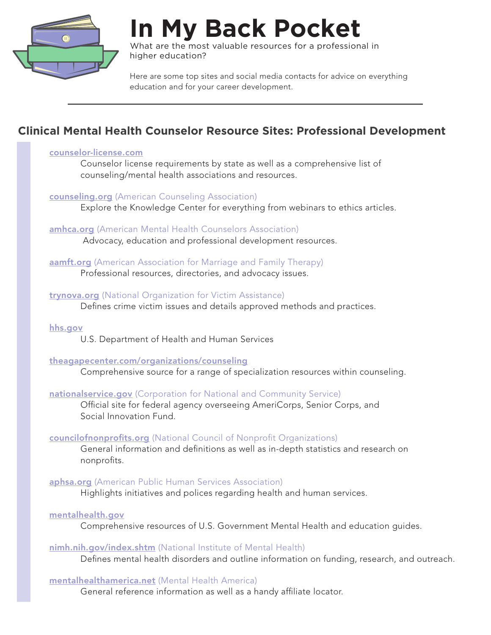

# **In My Back Pocket**

What are the most valuable resources for a professional in higher education?

Here are some top sites and social media contacts for advice on everything education and for your career development.

# **Clinical Mental Health Counselor Resource Sites: Professional Development**

#### [counselor-license.com](http://www.counselor-license.com/)

Counselor license requirements by state as well as a comprehensive list of counseling/mental health associations and resources.

#### [counseling.org](https://www.counseling.org/) (American Counseling Association)

Explore the Knowledge Center for everything from webinars to ethics articles.

## [amhca.org](http://www.amhca.org/home) (American Mental Health Counselors Association)

Advocacy, education and professional development resources.

## [aamft.org](http://www.aamft.org/iMIS15/AAMFT/) (American Association for Marriage and Family Therapy)

Professional resources, directories, and advocacy issues.

## [trynova.org](http://www.trynova.org/) (National Organization for Victim Assistance)

Defines crime victim issues and details approved methods and practices.

#### [hhs.gov](https://www.hhs.gov/)

U.S. Department of Health and Human Services

#### [theagapecenter.com/organizations/counseling](http://www.theagapecenter.com/Organizations/Counseling.htm)

Comprehensive source for a range of specialization resources within counseling.

# [nationalservice.gov](https://www.nationalservice.gov/) (Corporation for National and Community Service)

 Official site for federal agency overseeing AmeriCorps, Senior Corps, and Social Innovation Fund.

#### [councilofnonprofits.org](https://www.councilofnonprofits.org/) (National Council of Nonprofit Organizations)

General information and definitions as well as in-depth statistics and research on nonprofits.

# [aphsa.org](http://aphsa.org/content/APHSA/en/home.html) (American Public Human Services Association)

Highlights initiatives and polices regarding health and human services.

#### [mentalhealth.gov](https://www.mentalhealth.gov/)

Comprehensive resources of U.S. Government Mental Health and education guides.

#### [nimh.nih.gov/index.shtm](https://www.nimh.nih.gov/index.shtml) (National Institute of Mental Health)

Defines mental health disorders and outline information on funding, research, and outreach.

# [mentalhealthamerica.net](http://www.mentalhealthamerica.net/) (Mental Health America)

General reference information as well as a handy affiliate locator.